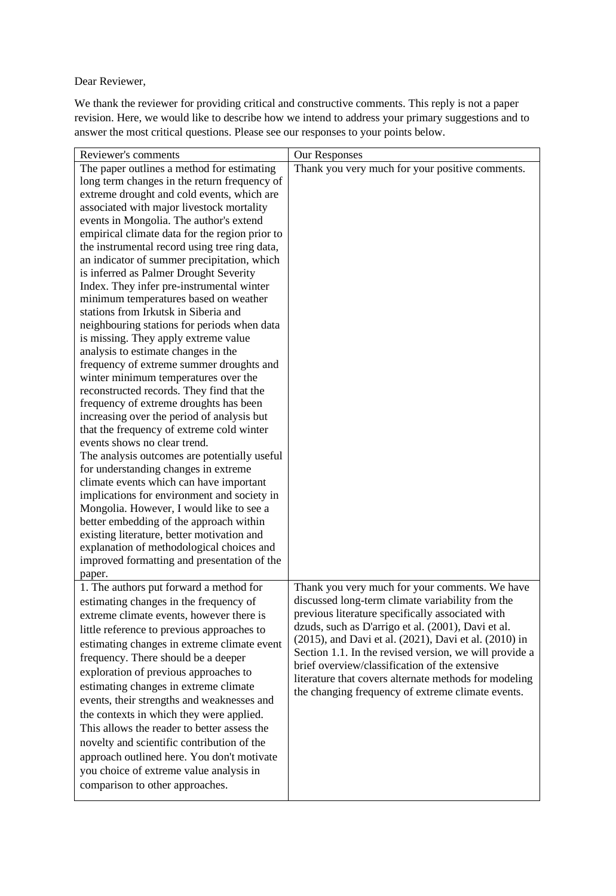Dear Reviewer,

We thank the reviewer for providing critical and constructive comments. This reply is not a paper revision. Here, we would like to describe how we intend to address your primary suggestions and to answer the most critical questions. Please see our responses to your points below.

| Reviewer's comments                                                                 | Our Responses                                          |
|-------------------------------------------------------------------------------------|--------------------------------------------------------|
| The paper outlines a method for estimating                                          | Thank you very much for your positive comments.        |
| long term changes in the return frequency of                                        |                                                        |
| extreme drought and cold events, which are                                          |                                                        |
| associated with major livestock mortality                                           |                                                        |
| events in Mongolia. The author's extend                                             |                                                        |
| empirical climate data for the region prior to                                      |                                                        |
| the instrumental record using tree ring data,                                       |                                                        |
| an indicator of summer precipitation, which                                         |                                                        |
| is inferred as Palmer Drought Severity                                              |                                                        |
| Index. They infer pre-instrumental winter                                           |                                                        |
| minimum temperatures based on weather                                               |                                                        |
| stations from Irkutsk in Siberia and                                                |                                                        |
| neighbouring stations for periods when data                                         |                                                        |
| is missing. They apply extreme value                                                |                                                        |
| analysis to estimate changes in the                                                 |                                                        |
| frequency of extreme summer droughts and                                            |                                                        |
| winter minimum temperatures over the                                                |                                                        |
| reconstructed records. They find that the<br>frequency of extreme droughts has been |                                                        |
| increasing over the period of analysis but                                          |                                                        |
| that the frequency of extreme cold winter                                           |                                                        |
| events shows no clear trend.                                                        |                                                        |
| The analysis outcomes are potentially useful                                        |                                                        |
| for understanding changes in extreme                                                |                                                        |
| climate events which can have important                                             |                                                        |
| implications for environment and society in                                         |                                                        |
| Mongolia. However, I would like to see a                                            |                                                        |
| better embedding of the approach within                                             |                                                        |
| existing literature, better motivation and                                          |                                                        |
| explanation of methodological choices and                                           |                                                        |
| improved formatting and presentation of the                                         |                                                        |
| paper.                                                                              |                                                        |
| 1. The authors put forward a method for                                             | Thank you very much for your comments. We have         |
| estimating changes in the frequency of                                              | discussed long-term climate variability from the       |
| extreme climate events, however there is                                            | previous literature specifically associated with       |
| little reference to previous approaches to                                          | dzuds, such as D'arrigo et al. (2001), Davi et al.     |
| estimating changes in extreme climate event                                         | (2015), and Davi et al. (2021), Davi et al. (2010) in  |
| frequency. There should be a deeper                                                 | Section 1.1. In the revised version, we will provide a |
| exploration of previous approaches to                                               | brief overview/classification of the extensive         |
| estimating changes in extreme climate                                               | literature that covers alternate methods for modeling  |
| events, their strengths and weaknesses and                                          | the changing frequency of extreme climate events.      |
| the contexts in which they were applied.                                            |                                                        |
| This allows the reader to better assess the                                         |                                                        |
| novelty and scientific contribution of the                                          |                                                        |
| approach outlined here. You don't motivate                                          |                                                        |
| you choice of extreme value analysis in                                             |                                                        |
|                                                                                     |                                                        |
| comparison to other approaches.                                                     |                                                        |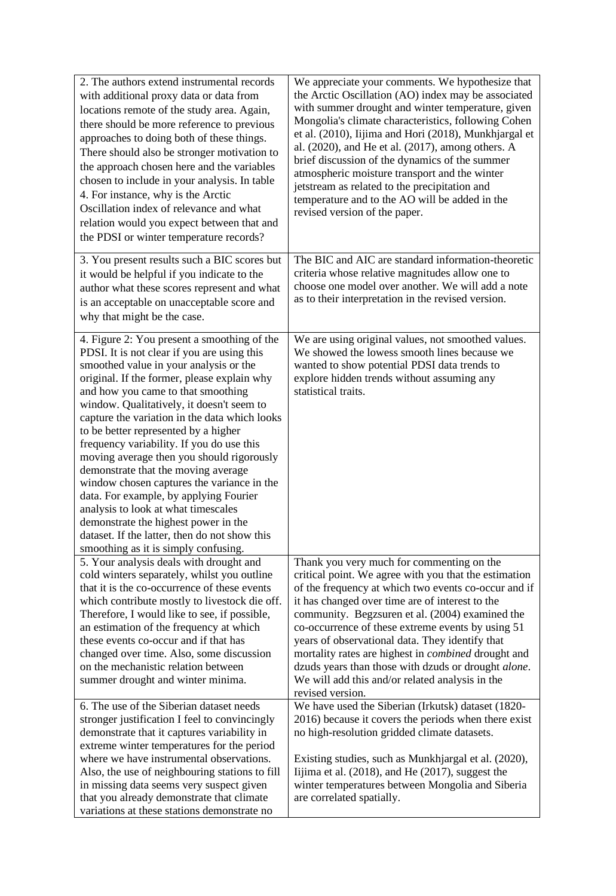| Mongolia's climate characteristics, following Cohen<br>et al. (2010), Iijima and Hori (2018), Munkhjargal et<br>al. (2020), and He et al. (2017), among others. A<br>brief discussion of the dynamics of the summer<br>atmospheric moisture transport and the winter<br>jetstream as related to the precipitation and<br>temperature and to the AO will be added in the<br>revised version of the paper.                                   |
|--------------------------------------------------------------------------------------------------------------------------------------------------------------------------------------------------------------------------------------------------------------------------------------------------------------------------------------------------------------------------------------------------------------------------------------------|
| The BIC and AIC are standard information-theoretic<br>criteria whose relative magnitudes allow one to<br>choose one model over another. We will add a note<br>as to their interpretation in the revised version.                                                                                                                                                                                                                           |
| We are using original values, not smoothed values.<br>We showed the lowess smooth lines because we<br>wanted to show potential PDSI data trends to<br>explore hidden trends without assuming any                                                                                                                                                                                                                                           |
| Thank you very much for commenting on the<br>critical point. We agree with you that the estimation                                                                                                                                                                                                                                                                                                                                         |
| of the frequency at which two events co-occur and if<br>it has changed over time are of interest to the<br>community. Begzsuren et al. (2004) examined the<br>co-occurrence of these extreme events by using 51<br>years of observational data. They identify that<br>mortality rates are highest in <i>combined</i> drought and<br>dzuds years than those with dzuds or drought alone.<br>We will add this and/or related analysis in the |
| We have used the Siberian (Irkutsk) dataset (1820-<br>2016) because it covers the periods when there exist                                                                                                                                                                                                                                                                                                                                 |
| no high-resolution gridded climate datasets.                                                                                                                                                                                                                                                                                                                                                                                               |
| Existing studies, such as Munkhjargal et al. (2020),<br>Iijima et al. $(2018)$ , and He $(2017)$ , suggest the<br>winter temperatures between Mongolia and Siberia<br>are correlated spatially.                                                                                                                                                                                                                                            |
|                                                                                                                                                                                                                                                                                                                                                                                                                                            |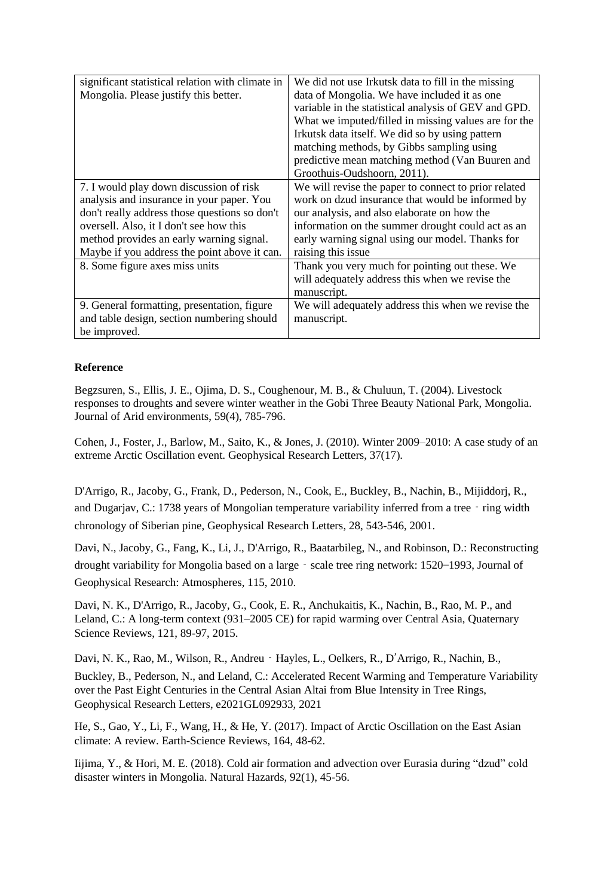| significant statistical relation with climate in | We did not use Irkutsk data to fill in the missing   |
|--------------------------------------------------|------------------------------------------------------|
|                                                  |                                                      |
| Mongolia. Please justify this better.            | data of Mongolia. We have included it as one         |
|                                                  | variable in the statistical analysis of GEV and GPD. |
|                                                  | What we imputed/filled in missing values are for the |
|                                                  | Irkutsk data itself. We did so by using pattern      |
|                                                  | matching methods, by Gibbs sampling using            |
|                                                  | predictive mean matching method (Van Buuren and      |
|                                                  | Groothuis-Oudshoorn, 2011).                          |
| 7. I would play down discussion of risk          | We will revise the paper to connect to prior related |
| analysis and insurance in your paper. You        | work on dzud insurance that would be informed by     |
| don't really address those questions so don't    | our analysis, and also elaborate on how the          |
| oversell. Also, it I don't see how this          | information on the summer drought could act as an    |
| method provides an early warning signal.         | early warning signal using our model. Thanks for     |
| Maybe if you address the point above it can.     | raising this issue                                   |
| 8. Some figure axes miss units                   | Thank you very much for pointing out these. We       |
|                                                  | will adequately address this when we revise the      |
|                                                  | manuscript.                                          |
| 9. General formatting, presentation, figure      | We will adequately address this when we revise the   |
| and table design, section numbering should       | manuscript.                                          |
| be improved.                                     |                                                      |

## **Reference**

Begzsuren, S., Ellis, J. E., Ojima, D. S., Coughenour, M. B., & Chuluun, T. (2004). Livestock responses to droughts and severe winter weather in the Gobi Three Beauty National Park, Mongolia. Journal of Arid environments, 59(4), 785-796.

Cohen, J., Foster, J., Barlow, M., Saito, K., & Jones, J. (2010). Winter 2009–2010: A case study of an extreme Arctic Oscillation event. Geophysical Research Letters, 37(17).

D'Arrigo, R., Jacoby, G., Frank, D., Pederson, N., Cook, E., Buckley, B., Nachin, B., Mijiddorj, R., and Dugarjav, C.: 1738 years of Mongolian temperature variability inferred from a tree‐ring width chronology of Siberian pine, Geophysical Research Letters, 28, 543-546, 2001.

Davi, N., Jacoby, G., Fang, K., Li, J., D'Arrigo, R., Baatarbileg, N., and Robinson, D.: Reconstructing drought variability for Mongolia based on a large – scale tree ring network: 1520–1993, Journal of Geophysical Research: Atmospheres, 115, 2010.

Davi, N. K., D'Arrigo, R., Jacoby, G., Cook, E. R., Anchukaitis, K., Nachin, B., Rao, M. P., and Leland, C.: A long-term context (931–2005 CE) for rapid warming over Central Asia, Quaternary Science Reviews, 121, 89-97, 2015.

Davi, N. K., Rao, M., Wilson, R., Andreu <sup>-</sup> Hayles, L., Oelkers, R., D'Arrigo, R., Nachin, B.,

Buckley, B., Pederson, N., and Leland, C.: Accelerated Recent Warming and Temperature Variability over the Past Eight Centuries in the Central Asian Altai from Blue Intensity in Tree Rings, Geophysical Research Letters, e2021GL092933, 2021

He, S., Gao, Y., Li, F., Wang, H., & He, Y. (2017). Impact of Arctic Oscillation on the East Asian climate: A review. Earth-Science Reviews, 164, 48-62.

Iijima, Y., & Hori, M. E. (2018). Cold air formation and advection over Eurasia during "dzud" cold disaster winters in Mongolia. Natural Hazards, 92(1), 45-56.